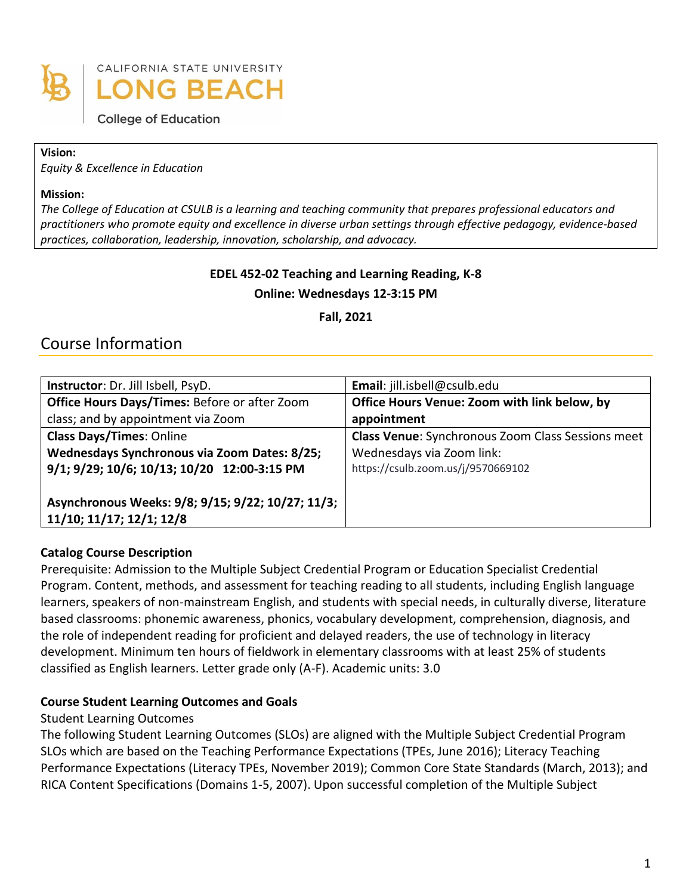

**College of Education** 

#### **Vision:**

*Equity & Excellence in Education*

#### **Mission:**

*The College of Education at CSULB is a learning and teaching community that prepares professional educators and practitioners who promote equity and excellence in diverse urban settings through effective pedagogy, evidence-based practices, collaboration, leadership, innovation, scholarship, and advocacy.*

# **EDEL 452-02 Teaching and Learning Reading, K-8**

**Online: Wednesdays 12-3:15 PM**

**Fall, 2021** 

# Course Information

| Instructor: Dr. Jill Isbell, PsyD.                | Email: jill.isbell@csulb.edu                             |
|---------------------------------------------------|----------------------------------------------------------|
| Office Hours Days/Times: Before or after Zoom     | Office Hours Venue: Zoom with link below, by             |
| class; and by appointment via Zoom                | appointment                                              |
| <b>Class Days/Times: Online</b>                   | <b>Class Venue:</b> Synchronous Zoom Class Sessions meet |
| Wednesdays Synchronous via Zoom Dates: 8/25;      | Wednesdays via Zoom link:                                |
| 9/1; 9/29; 10/6; 10/13; 10/20 12:00-3:15 PM       | https://csulb.zoom.us/j/9570669102                       |
|                                                   |                                                          |
| Asynchronous Weeks: 9/8; 9/15; 9/22; 10/27; 11/3; |                                                          |
| 11/10; 11/17; 12/1; 12/8                          |                                                          |

#### **Catalog Course Description**

Prerequisite: Admission to the Multiple Subject Credential Program or Education Specialist Credential Program. Content, methods, and assessment for teaching reading to all students, including English language learners, speakers of non-mainstream English, and students with special needs, in culturally diverse, literature based classrooms: phonemic awareness, phonics, vocabulary development, comprehension, diagnosis, and the role of independent reading for proficient and delayed readers, the use of technology in literacy development. Minimum ten hours of fieldwork in elementary classrooms with at least 25% of students classified as English learners. Letter grade only (A-F). Academic units: 3.0

#### **Course Student Learning Outcomes and Goals**

#### Student Learning Outcomes

The following Student Learning Outcomes (SLOs) are aligned with the Multiple Subject Credential Program SLOs which are based on the Teaching Performance Expectations (TPEs, June 2016); Literacy Teaching Performance Expectations (Literacy TPEs, November 2019); Common Core State Standards (March, 2013); and RICA Content Specifications (Domains 1-5, 2007). Upon successful completion of the Multiple Subject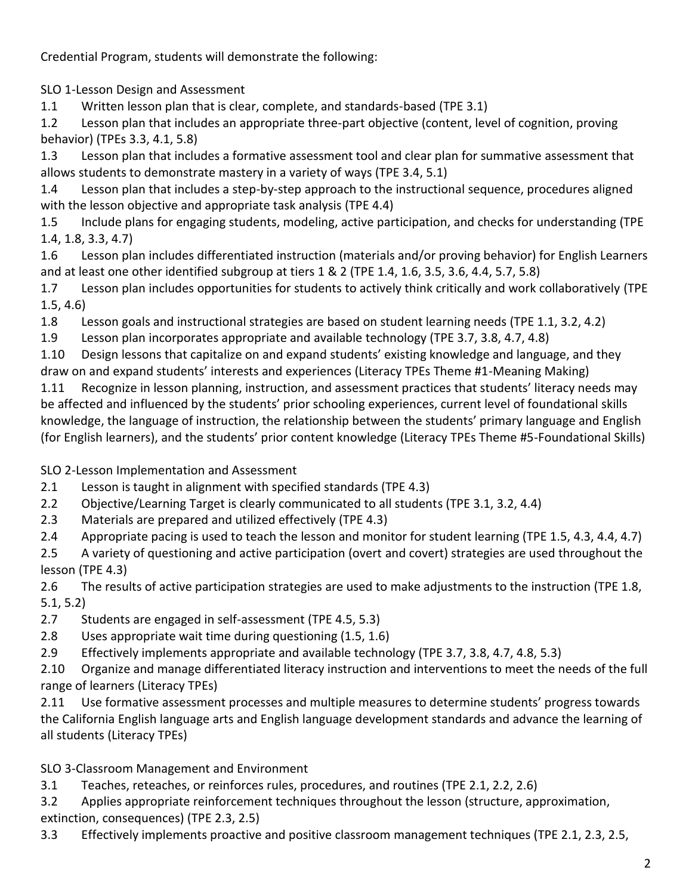Credential Program, students will demonstrate the following:

SLO 1-Lesson Design and Assessment

1.1 Written lesson plan that is clear, complete, and standards-based (TPE 3.1)

1.2 Lesson plan that includes an appropriate three-part objective (content, level of cognition, proving behavior) (TPEs 3.3, 4.1, 5.8)

1.3 Lesson plan that includes a formative assessment tool and clear plan for summative assessment that allows students to demonstrate mastery in a variety of ways (TPE 3.4, 5.1)

1.4 Lesson plan that includes a step-by-step approach to the instructional sequence, procedures aligned with the lesson objective and appropriate task analysis (TPE 4.4)

1.5 Include plans for engaging students, modeling, active participation, and checks for understanding (TPE 1.4, 1.8, 3.3, 4.7)

1.6 Lesson plan includes differentiated instruction (materials and/or proving behavior) for English Learners and at least one other identified subgroup at tiers 1 & 2 (TPE 1.4, 1.6, 3.5, 3.6, 4.4, 5.7, 5.8)

1.7 Lesson plan includes opportunities for students to actively think critically and work collaboratively (TPE 1.5, 4.6)

1.8 Lesson goals and instructional strategies are based on student learning needs (TPE 1.1, 3.2, 4.2)

1.9 Lesson plan incorporates appropriate and available technology (TPE 3.7, 3.8, 4.7, 4.8)

1.10 Design lessons that capitalize on and expand students' existing knowledge and language, and they draw on and expand students' interests and experiences (Literacy TPEs Theme #1-Meaning Making)

1.11 Recognize in lesson planning, instruction, and assessment practices that students' literacy needs may be affected and influenced by the students' prior schooling experiences, current level of foundational skills knowledge, the language of instruction, the relationship between the students' primary language and English (for English learners), and the students' prior content knowledge (Literacy TPEs Theme #5-Foundational Skills)

SLO 2-Lesson Implementation and Assessment

2.1 Lesson is taught in alignment with specified standards (TPE 4.3)

2.2 Objective/Learning Target is clearly communicated to all students (TPE 3.1, 3.2, 4.4)

2.3 Materials are prepared and utilized effectively (TPE 4.3)

2.4 Appropriate pacing is used to teach the lesson and monitor for student learning (TPE 1.5, 4.3, 4.4, 4.7)

2.5 A variety of questioning and active participation (overt and covert) strategies are used throughout the lesson (TPE 4.3)

2.6 The results of active participation strategies are used to make adjustments to the instruction (TPE 1.8, 5.1, 5.2)

2.7 Students are engaged in self-assessment (TPE 4.5, 5.3)

2.8 Uses appropriate wait time during questioning (1.5, 1.6)

2.9 Effectively implements appropriate and available technology (TPE 3.7, 3.8, 4.7, 4.8, 5.3)

2.10 Organize and manage differentiated literacy instruction and interventions to meet the needs of the full range of learners (Literacy TPEs)

2.11 Use formative assessment processes and multiple measures to determine students' progress towards the California English language arts and English language development standards and advance the learning of all students (Literacy TPEs)

SLO 3-Classroom Management and Environment

3.1 Teaches, reteaches, or reinforces rules, procedures, and routines (TPE 2.1, 2.2, 2.6)

3.2 Applies appropriate reinforcement techniques throughout the lesson (structure, approximation,

extinction, consequences) (TPE 2.3, 2.5)

3.3 Effectively implements proactive and positive classroom management techniques (TPE 2.1, 2.3, 2.5,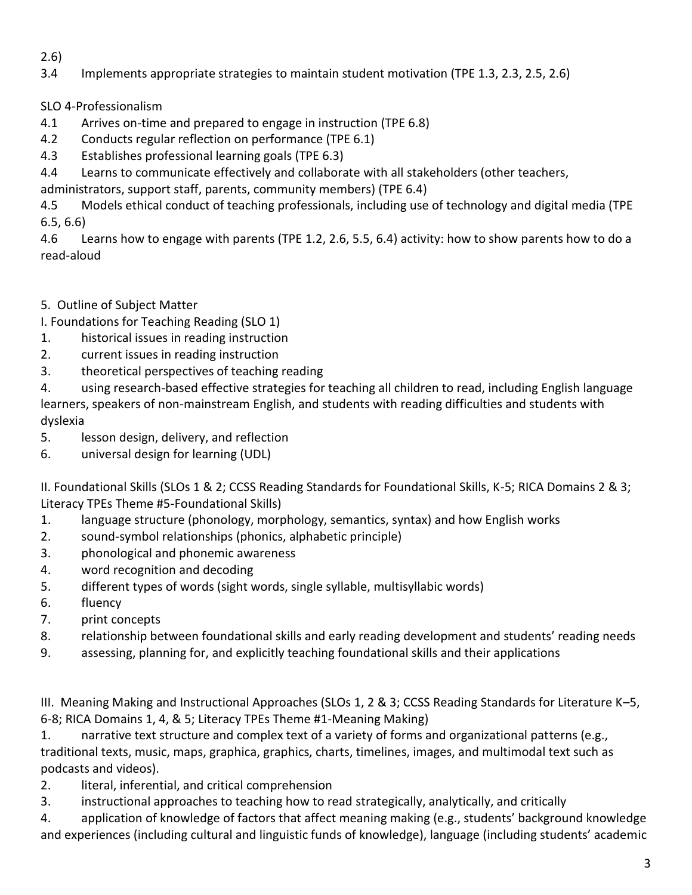# 2.6)

- 3.4 Implements appropriate strategies to maintain student motivation (TPE 1.3, 2.3, 2.5, 2.6)
- SLO 4-Professionalism
- 4.1 Arrives on-time and prepared to engage in instruction (TPE 6.8)
- 4.2 Conducts regular reflection on performance (TPE 6.1)
- 4.3 Establishes professional learning goals (TPE 6.3)
- 4.4 Learns to communicate effectively and collaborate with all stakeholders (other teachers,
- administrators, support staff, parents, community members) (TPE 6.4)

4.5 Models ethical conduct of teaching professionals, including use of technology and digital media (TPE 6.5, 6.6)

4.6 Learns how to engage with parents (TPE 1.2, 2.6, 5.5, 6.4) activity: how to show parents how to do a read-aloud

5. Outline of Subject Matter

I. Foundations for Teaching Reading (SLO 1)

- 1. historical issues in reading instruction
- 2. current issues in reading instruction
- 3. theoretical perspectives of teaching reading

4. using research-based effective strategies for teaching all children to read, including English language learners, speakers of non-mainstream English, and students with reading difficulties and students with dyslexia

- 5. lesson design, delivery, and reflection
- 6. universal design for learning (UDL)

II. Foundational Skills (SLOs 1 & 2; CCSS Reading Standards for Foundational Skills, K-5; RICA Domains 2 & 3; Literacy TPEs Theme #5-Foundational Skills)

- 1. language structure (phonology, morphology, semantics, syntax) and how English works
- 2. sound-symbol relationships (phonics, alphabetic principle)
- 3. phonological and phonemic awareness
- 4. word recognition and decoding
- 5. different types of words (sight words, single syllable, multisyllabic words)
- 6. fluency
- 7. print concepts
- 8. relationship between foundational skills and early reading development and students' reading needs
- 9. assessing, planning for, and explicitly teaching foundational skills and their applications

III. Meaning Making and Instructional Approaches (SLOs 1, 2 & 3; CCSS Reading Standards for Literature K–5, 6-8; RICA Domains 1, 4, & 5; Literacy TPEs Theme #1-Meaning Making)

1. narrative text structure and complex text of a variety of forms and organizational patterns (e.g., traditional texts, music, maps, graphica, graphics, charts, timelines, images, and multimodal text such as podcasts and videos).

- 2. literal, inferential, and critical comprehension
- 3. instructional approaches to teaching how to read strategically, analytically, and critically

4. application of knowledge of factors that affect meaning making (e.g., students' background knowledge and experiences (including cultural and linguistic funds of knowledge), language (including students' academic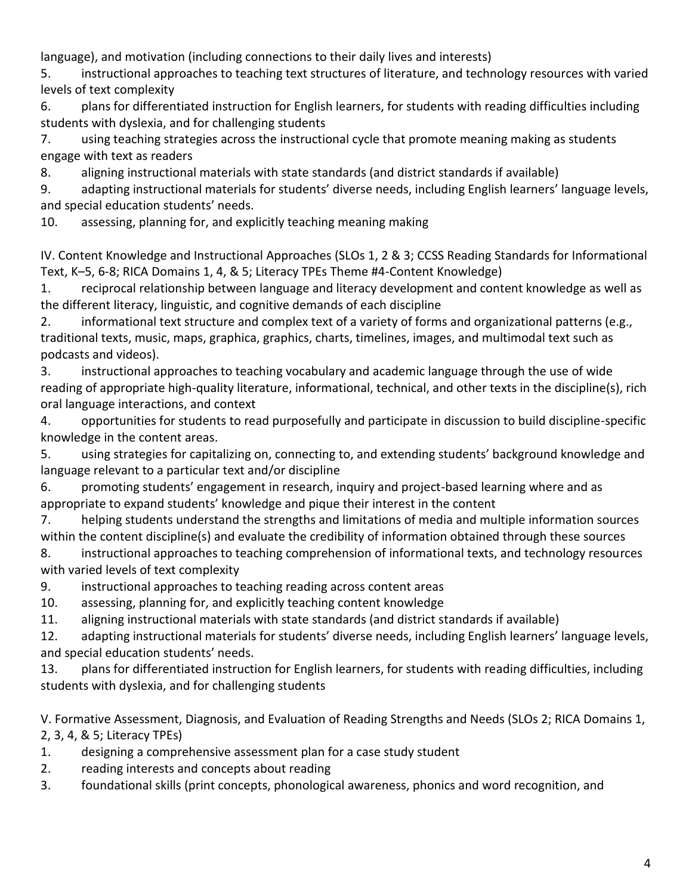language), and motivation (including connections to their daily lives and interests)

5. instructional approaches to teaching text structures of literature, and technology resources with varied levels of text complexity

6. plans for differentiated instruction for English learners, for students with reading difficulties including students with dyslexia, and for challenging students

7. using teaching strategies across the instructional cycle that promote meaning making as students engage with text as readers

8. aligning instructional materials with state standards (and district standards if available)

9. adapting instructional materials for students' diverse needs, including English learners' language levels, and special education students' needs.

10. assessing, planning for, and explicitly teaching meaning making

IV. Content Knowledge and Instructional Approaches (SLOs 1, 2 & 3; CCSS Reading Standards for Informational Text, K–5, 6-8; RICA Domains 1, 4, & 5; Literacy TPEs Theme #4-Content Knowledge)

1. reciprocal relationship between language and literacy development and content knowledge as well as the different literacy, linguistic, and cognitive demands of each discipline

2. informational text structure and complex text of a variety of forms and organizational patterns (e.g., traditional texts, music, maps, graphica, graphics, charts, timelines, images, and multimodal text such as podcasts and videos).

3. instructional approaches to teaching vocabulary and academic language through the use of wide reading of appropriate high-quality literature, informational, technical, and other texts in the discipline(s), rich oral language interactions, and context

4. opportunities for students to read purposefully and participate in discussion to build discipline-specific knowledge in the content areas.

5. using strategies for capitalizing on, connecting to, and extending students' background knowledge and language relevant to a particular text and/or discipline

6. promoting students' engagement in research, inquiry and project-based learning where and as appropriate to expand students' knowledge and pique their interest in the content

7. helping students understand the strengths and limitations of media and multiple information sources within the content discipline(s) and evaluate the credibility of information obtained through these sources

8. instructional approaches to teaching comprehension of informational texts, and technology resources with varied levels of text complexity

9. instructional approaches to teaching reading across content areas

10. assessing, planning for, and explicitly teaching content knowledge

11. aligning instructional materials with state standards (and district standards if available)

12. adapting instructional materials for students' diverse needs, including English learners' language levels, and special education students' needs.

13. plans for differentiated instruction for English learners, for students with reading difficulties, including students with dyslexia, and for challenging students

V. Formative Assessment, Diagnosis, and Evaluation of Reading Strengths and Needs (SLOs 2; RICA Domains 1,

2, 3, 4, & 5; Literacy TPEs)

- 1. designing a comprehensive assessment plan for a case study student
- 2. reading interests and concepts about reading
- 3. foundational skills (print concepts, phonological awareness, phonics and word recognition, and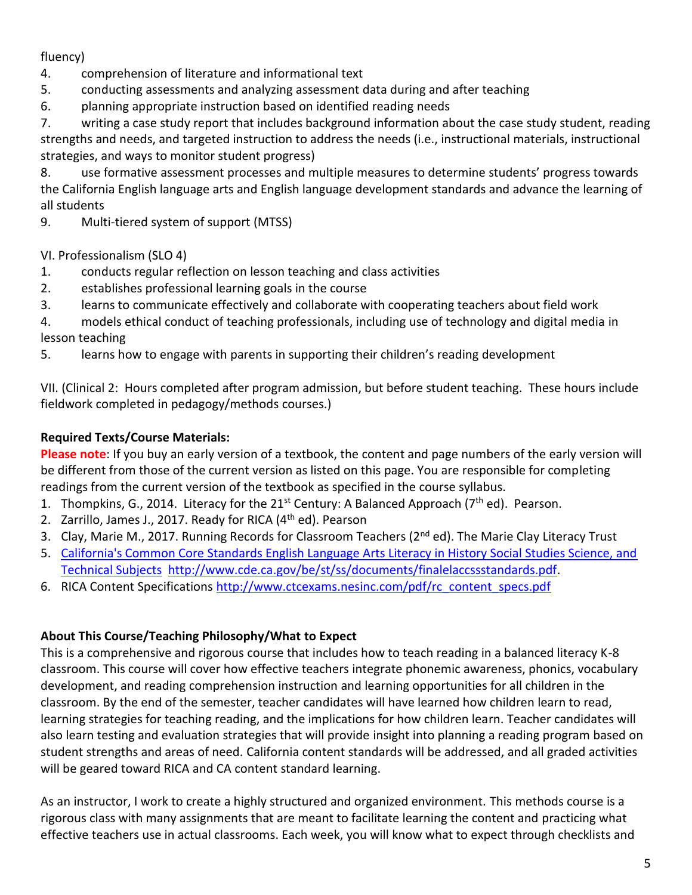fluency)

- 4. comprehension of literature and informational text
- 5. conducting assessments and analyzing assessment data during and after teaching
- 6. planning appropriate instruction based on identified reading needs

7. writing a case study report that includes background information about the case study student, reading strengths and needs, and targeted instruction to address the needs (i.e., instructional materials, instructional strategies, and ways to monitor student progress)

8. use formative assessment processes and multiple measures to determine students' progress towards the California English language arts and English language development standards and advance the learning of all students

9. Multi-tiered system of support (MTSS)

VI. Professionalism (SLO 4)

- 1. conducts regular reflection on lesson teaching and class activities
- 2. establishes professional learning goals in the course
- 3. learns to communicate effectively and collaborate with cooperating teachers about field work

4. models ethical conduct of teaching professionals, including use of technology and digital media in lesson teaching

5. learns how to engage with parents in supporting their children's reading development

VII. (Clinical 2: Hours completed after program admission, but before student teaching. These hours include fieldwork completed in pedagogy/methods courses.)

## **Required Texts/Course Materials:**

**Please note**: If you buy an early version of a textbook, the content and page numbers of the early version will be different from those of the current version as listed on this page. You are responsible for completing readings from the current version of the textbook as specified in the course syllabus.

- 1. Thompkins, G., 2014. Literacy for the 21<sup>st</sup> Century: A Balanced Approach ( $7<sup>th</sup>$  ed). Pearson.
- 2. Zarrillo, James J., 2017. Ready for RICA (4<sup>th</sup> ed). Pearson
- 3. Clay, Marie M., 2017. Running Records for Classroom Teachers (2<sup>nd</sup> ed). The Marie Clay Literacy Trust
- 5. California's Common Core Standards English Language Arts Literacy in History Social Studies Science, and [Technical Subjects](javascript://) [http://www.cde.ca.gov/be/st/ss/documents/finalelaccssstandards.pdf.](http://www.cde.ca.gov/be/st/ss/documents/finalelaccssstandards.pdf)
- 6. RICA Content Specifications [http://www.ctcexams.nesinc.com/pdf/rc\\_content\\_specs.pdf](http://www.ctcexams.nesinc.com/pdf/rc_content_specs.pdf)

## **About This Course/Teaching Philosophy/What to Expect**

This is a comprehensive and rigorous course that includes how to teach reading in a balanced literacy K-8 classroom. This course will cover how effective teachers integrate phonemic awareness, phonics, vocabulary development, and reading comprehension instruction and learning opportunities for all children in the classroom. By the end of the semester, teacher candidates will have learned how children learn to read, learning strategies for teaching reading, and the implications for how children learn. Teacher candidates will also learn testing and evaluation strategies that will provide insight into planning a reading program based on student strengths and areas of need. California content standards will be addressed, and all graded activities will be geared toward RICA and CA content standard learning.

As an instructor, I work to create a highly structured and organized environment. This methods course is a rigorous class with many assignments that are meant to facilitate learning the content and practicing what effective teachers use in actual classrooms. Each week, you will know what to expect through checklists and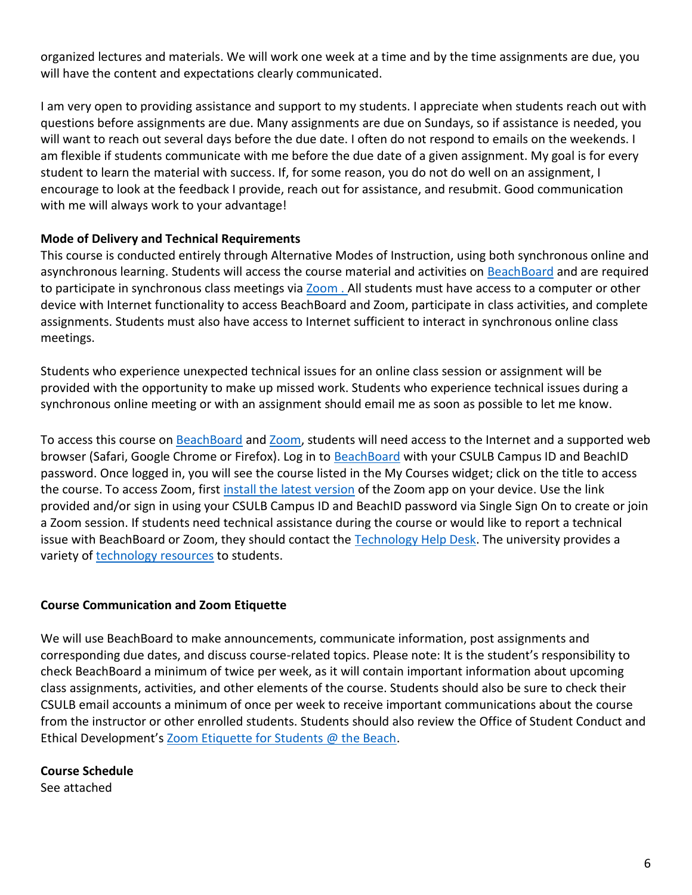organized lectures and materials. We will work one week at a time and by the time assignments are due, you will have the content and expectations clearly communicated.

I am very open to providing assistance and support to my students. I appreciate when students reach out with questions before assignments are due. Many assignments are due on Sundays, so if assistance is needed, you will want to reach out several days before the due date. I often do not respond to emails on the weekends. I am flexible if students communicate with me before the due date of a given assignment. My goal is for every student to learn the material with success. If, for some reason, you do not do well on an assignment, I encourage to look at the feedback I provide, reach out for assistance, and resubmit. Good communication with me will always work to your advantage!

## **Mode of Delivery and Technical Requirements**

This course is conducted entirely through Alternative Modes of Instruction, using both synchronous online and asynchronous learning. Students will access the course material and activities on [BeachBoard](https://bbcsulb.desire2learn.com/d2l/home) and are required to participate in synchronous class meetings via [Zoom](https://csulb.zoom.us/meeting) . All students must have access to a computer or other device with Internet functionality to access BeachBoard and Zoom, participate in class activities, and complete assignments. Students must also have access to Internet sufficient to interact in synchronous online class meetings.

Students who experience unexpected technical issues for an online class session or assignment will be provided with the opportunity to make up missed work. Students who experience technical issues during a synchronous online meeting or with an assignment should email me as soon as possible to let me know.

To access this course on [BeachBoard](https://bbcsulb.desire2learn.com/d2l/home) and [Zoom,](https://csulb.zoom.us/meeting) students will need access to the Internet and a supported web browser (Safari, Google Chrome or Firefox). Log in to [BeachBoard](https://bbcsulb.desire2learn.com/) with your CSULB Campus ID and BeachID password. Once logged in, you will see the course listed in the My Courses widget; click on the title to access the course. To access Zoom, first install the [latest version](https://zoom.us/download) of the Zoom app on your device. Use the link provided and/or sign in using your CSULB Campus ID and BeachID password via Single Sign On to create or join a Zoom session. If students need technical assistance during the course or would like to report a technical issue with BeachBoard or Zoom, they should contact the [Technology Help Desk.](https://www.csulb.edu/academic-technology-services/academic-technology-resources-for-students) The university provides a variety of [technology resources](https://www.csulb.edu/academic-technology-services/academic-technology-resources-for-students) to students.

#### **Course Communication and Zoom Etiquette**

We will use BeachBoard to make announcements, communicate information, post assignments and corresponding due dates, and discuss course-related topics. Please note: It is the student's responsibility to check BeachBoard a minimum of twice per week, as it will contain important information about upcoming class assignments, activities, and other elements of the course. Students should also be sure to check their CSULB email accounts a minimum of once per week to receive important communications about the course from the instructor or other enrolled students. Students should also review the Office of Student Conduct and Ethical Development's [Zoom Etiquette for Students @ the Beach.](https://www.csulb.edu/sites/default/files/u48211/zoom_etiquette_for_students.pdf)

**Course Schedule** See attached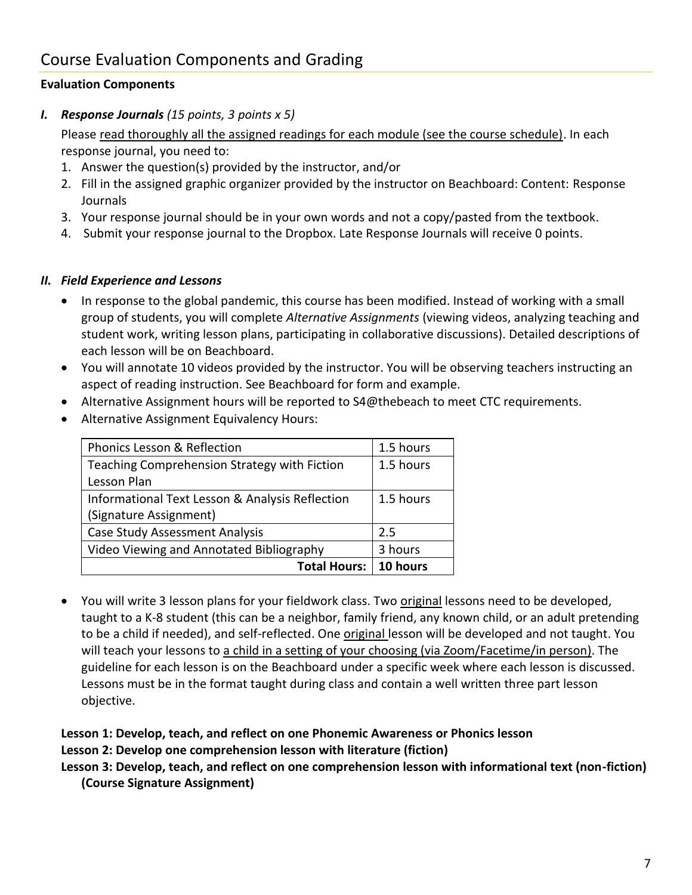# Course Evaluation Components and Grading

## **Evaluation Components**

*I. Response Journals (15 points, 3 points x 5)*

Please read thoroughly all the assigned readings for each module (see the course schedule). In each response journal, you need to:

- 1. Answer the question(s) provided by the instructor, and/or
- 2. Fill in the assigned graphic organizer provided by the instructor on Beachboard: Content: Response **Journals**
- 3. Your response journal should be in your own words and not a copy/pasted from the textbook.
- 4. Submit your response journal to the Dropbox. Late Response Journals will receive 0 points.

#### *II. Field Experience and Lessons*

- In response to the global pandemic, this course has been modified. Instead of working with a small group of students, you will complete *Alternative Assignments* (viewing videos, analyzing teaching and student work, writing lesson plans, participating in collaborative discussions). Detailed descriptions of each lesson will be on Beachboard.
- You will annotate 10 videos provided by the instructor. You will be observing teachers instructing an aspect of reading instruction. See Beachboard for form and example.
- Alternative Assignment hours will be reported to S4@thebeach to meet CTC requirements.
- Alternative Assignment Equivalency Hours:

| Phonics Lesson & Reflection                     | 1.5 hours |
|-------------------------------------------------|-----------|
| Teaching Comprehension Strategy with Fiction    | 1.5 hours |
| Lesson Plan                                     |           |
| Informational Text Lesson & Analysis Reflection | 1.5 hours |
| (Signature Assignment)                          |           |
| <b>Case Study Assessment Analysis</b>           | 2.5       |
| Video Viewing and Annotated Bibliography        | 3 hours   |
| <b>Total Hours:</b>                             | 10 hours  |

• You will write 3 lesson plans for your fieldwork class. Two **original lessons need to be developed**, taught to a K-8 student (this can be a neighbor, family friend, any known child, or an adult pretending to be a child if needed), and self-reflected. One original lesson will be developed and not taught. You will teach your lessons to a child in a setting of your choosing (via Zoom/Facetime/in person). The guideline for each lesson is on the Beachboard under a specific week where each lesson is discussed. Lessons must be in the format taught during class and contain a well written three part lesson objective.

#### **Lesson 1: Develop, teach, and reflect on one Phonemic Awareness or Phonics lesson Lesson 2: Develop one comprehension lesson with literature (fiction)**

#### **Lesson 3: Develop, teach, and reflect on one comprehension lesson with informational text (non-fiction) (Course Signature Assignment)**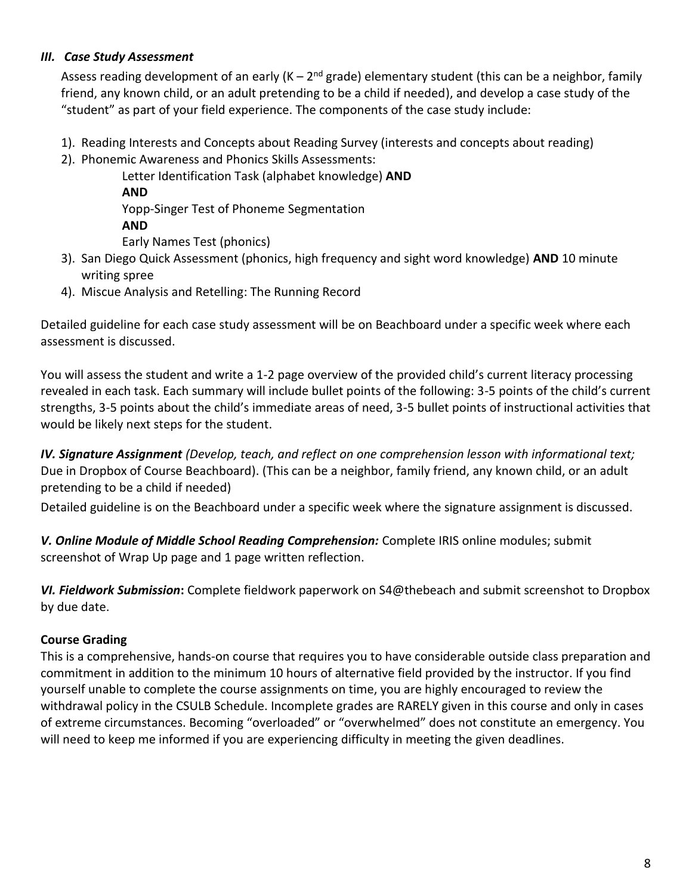## *III. Case Study Assessment*

Assess reading development of an early (K – 2<sup>nd</sup> grade) elementary student (this can be a neighbor, family friend, any known child, or an adult pretending to be a child if needed), and develop a case study of the "student" as part of your field experience. The components of the case study include:

- 1). Reading Interests and Concepts about Reading Survey (interests and concepts about reading)
- 2). Phonemic Awareness and Phonics Skills Assessments:

Letter Identification Task (alphabet knowledge) **AND AND** Yopp-Singer Test of Phoneme Segmentation **AND** Early Names Test (phonics)

- 3). San Diego Quick Assessment (phonics, high frequency and sight word knowledge) **AND** 10 minute writing spree
- 4). Miscue Analysis and Retelling: The Running Record

Detailed guideline for each case study assessment will be on Beachboard under a specific week where each assessment is discussed.

You will assess the student and write a 1-2 page overview of the provided child's current literacy processing revealed in each task. Each summary will include bullet points of the following: 3-5 points of the child's current strengths, 3-5 points about the child's immediate areas of need, 3-5 bullet points of instructional activities that would be likely next steps for the student.

*IV. Signature Assignment (Develop, teach, and reflect on one comprehension lesson with informational text;*  Due in Dropbox of Course Beachboard). (This can be a neighbor, family friend, any known child, or an adult pretending to be a child if needed)

Detailed guideline is on the Beachboard under a specific week where the signature assignment is discussed.

*V. Online Module of Middle School Reading Comprehension:* Complete IRIS online modules; submit screenshot of Wrap Up page and 1 page written reflection.

*VI. Fieldwork Submission***:** Complete fieldwork paperwork on S4@thebeach and submit screenshot to Dropbox by due date.

# **Course Grading**

This is a comprehensive, hands-on course that requires you to have considerable outside class preparation and commitment in addition to the minimum 10 hours of alternative field provided by the instructor. If you find yourself unable to complete the course assignments on time, you are highly encouraged to review the withdrawal policy in the CSULB Schedule. Incomplete grades are RARELY given in this course and only in cases of extreme circumstances. Becoming "overloaded" or "overwhelmed" does not constitute an emergency. You will need to keep me informed if you are experiencing difficulty in meeting the given deadlines.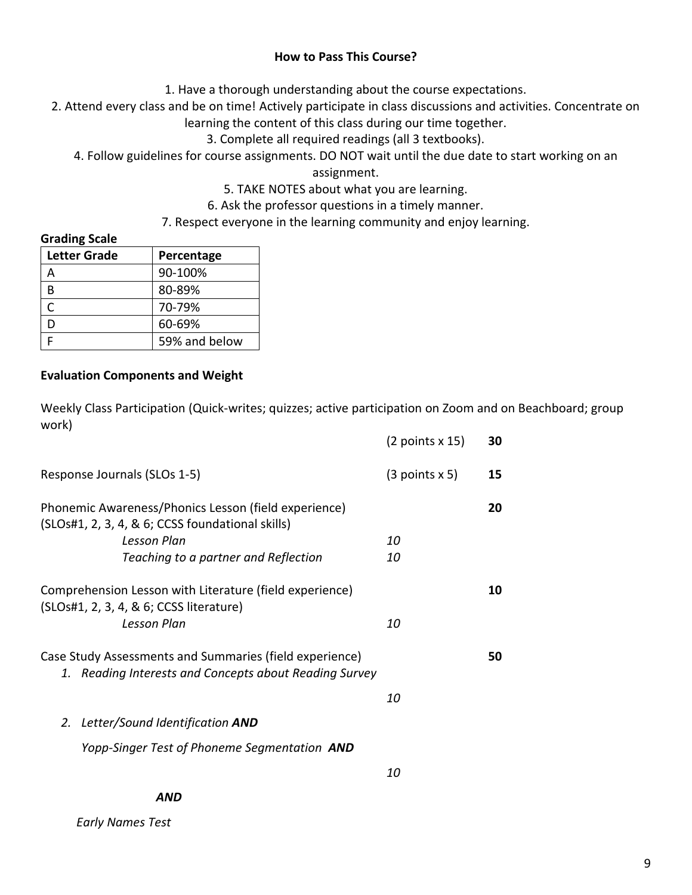#### **How to Pass This Course?**

1. Have a thorough understanding about the course expectations.

2. Attend every class and be on time! Actively participate in class discussions and activities. Concentrate on learning the content of this class during our time together.

3. Complete all required readings (all 3 textbooks).

4. Follow guidelines for course assignments. DO NOT wait until the due date to start working on an

assignment.

5. TAKE NOTES about what you are learning.

6. Ask the professor questions in a timely manner.

7. Respect everyone in the learning community and enjoy learning.

#### **Grading Scale**

| <b>Letter Grade</b> | Percentage    |  |
|---------------------|---------------|--|
|                     | 90-100%       |  |
| R                   | 80-89%        |  |
| C                   | 70-79%        |  |
| D                   | 60-69%        |  |
|                     | 59% and below |  |

#### **Evaluation Components and Weight**

Weekly Class Participation (Quick-writes; quizzes; active participation on Zoom and on Beachboard; group work)

|                                                                                                                                                                 | $(2$ points x 15) | 30 |
|-----------------------------------------------------------------------------------------------------------------------------------------------------------------|-------------------|----|
| Response Journals (SLOs 1-5)                                                                                                                                    | (3 points x 5)    | 15 |
| Phonemic Awareness/Phonics Lesson (field experience)<br>(SLOs#1, 2, 3, 4, & 6; CCSS foundational skills)<br>Lesson Plan<br>Teaching to a partner and Reflection | 10<br>10          | 20 |
| Comprehension Lesson with Literature (field experience)<br>(SLOs#1, 2, 3, 4, & 6; CCSS literature)<br>Lesson Plan                                               | 10                | 10 |
| Case Study Assessments and Summaries (field experience)<br>1. Reading Interests and Concepts about Reading Survey                                               | 10                | 50 |
| 2. Letter/Sound Identification AND<br>Yopp-Singer Test of Phoneme Segmentation AND                                                                              |                   |    |
|                                                                                                                                                                 | <i>10</i>         |    |

 *Early Names Test*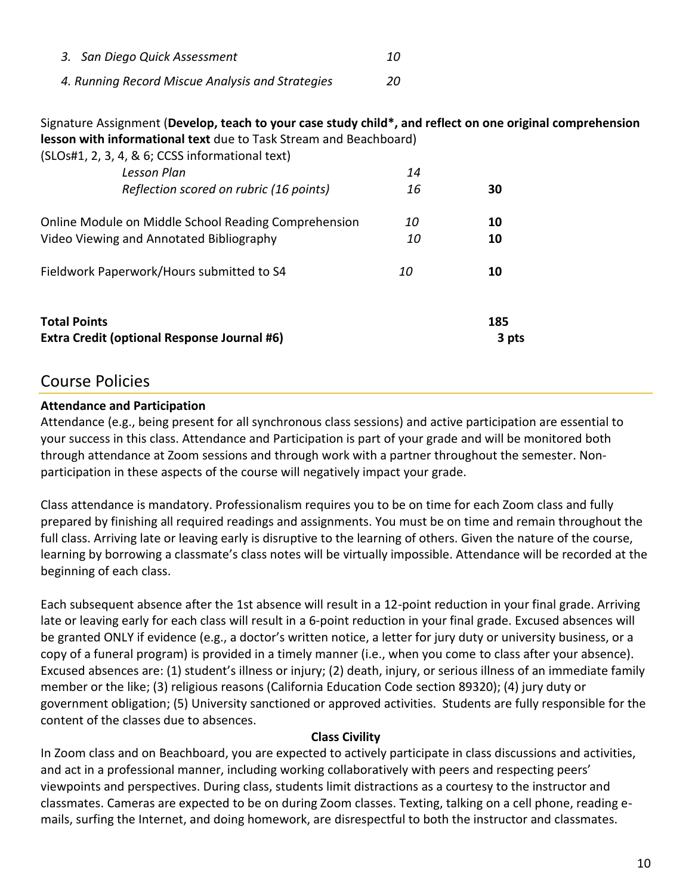| 3. San Diego Quick Assessment                    |     |
|--------------------------------------------------|-----|
| 4. Running Record Miscue Analysis and Strategies | 20. |

Signature Assignment (**Develop, teach to your case study child\*, and reflect on one original comprehension lesson with informational text** due to Task Stream and Beachboard)

| <b>Total Points</b><br><b>Extra Credit (optional Response Journal #6)</b>                        |           | 185<br>3 pts |
|--------------------------------------------------------------------------------------------------|-----------|--------------|
| Fieldwork Paperwork/Hours submitted to S4                                                        | <i>10</i> | 10           |
| Online Module on Middle School Reading Comprehension<br>Video Viewing and Annotated Bibliography | 10<br>10  | 10<br>10     |
| Lesson Plan<br>Reflection scored on rubric (16 points)                                           | 14<br>16  | 30           |
| (SLOs#1, 2, 3, 4, & 6; CCSS informational text)                                                  |           |              |

# Course Policies

#### **Attendance and Participation**

Attendance (e.g., being present for all synchronous class sessions) and active participation are essential to your success in this class. Attendance and Participation is part of your grade and will be monitored both through attendance at Zoom sessions and through work with a partner throughout the semester. Nonparticipation in these aspects of the course will negatively impact your grade.

Class attendance is mandatory. Professionalism requires you to be on time for each Zoom class and fully prepared by finishing all required readings and assignments. You must be on time and remain throughout the full class. Arriving late or leaving early is disruptive to the learning of others. Given the nature of the course, learning by borrowing a classmate's class notes will be virtually impossible. Attendance will be recorded at the beginning of each class.

Each subsequent absence after the 1st absence will result in a 12-point reduction in your final grade. Arriving late or leaving early for each class will result in a 6-point reduction in your final grade. Excused absences will be granted ONLY if evidence (e.g., a doctor's written notice, a letter for jury duty or university business, or a copy of a funeral program) is provided in a timely manner (i.e., when you come to class after your absence). Excused absences are: (1) student's illness or injury; (2) death, injury, or serious illness of an immediate family member or the like; (3) religious reasons (California Education Code section 89320); (4) jury duty or government obligation; (5) University sanctioned or approved activities. Students are fully responsible for the content of the classes due to absences.

#### **Class Civility**

In Zoom class and on Beachboard, you are expected to actively participate in class discussions and activities, and act in a professional manner, including working collaboratively with peers and respecting peers' viewpoints and perspectives. During class, students limit distractions as a courtesy to the instructor and classmates. Cameras are expected to be on during Zoom classes. Texting, talking on a cell phone, reading emails, surfing the Internet, and doing homework, are disrespectful to both the instructor and classmates.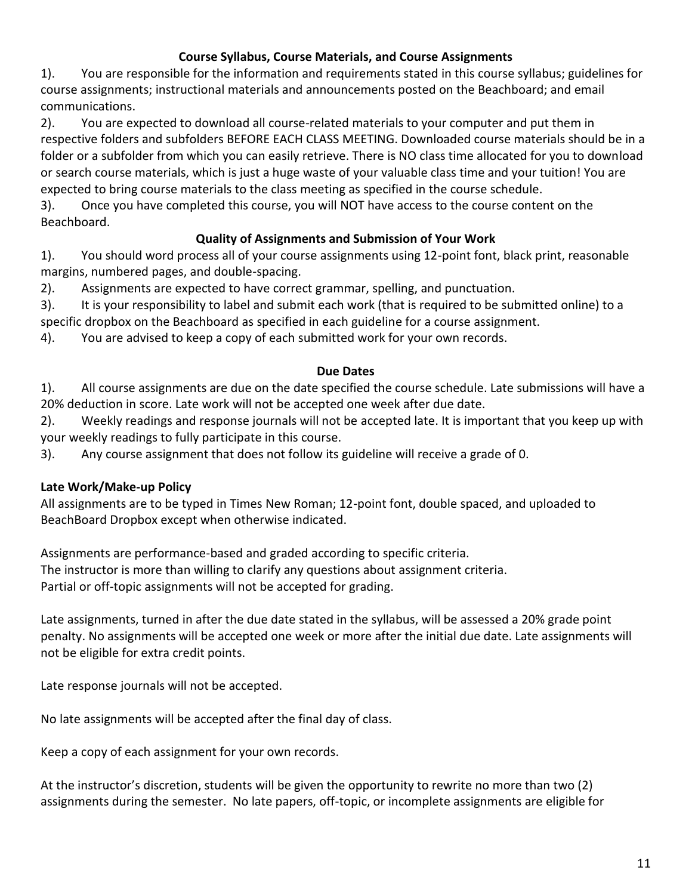## **Course Syllabus, Course Materials, and Course Assignments**

1). You are responsible for the information and requirements stated in this course syllabus; guidelines for course assignments; instructional materials and announcements posted on the Beachboard; and email communications.

2). You are expected to download all course-related materials to your computer and put them in respective folders and subfolders BEFORE EACH CLASS MEETING. Downloaded course materials should be in a folder or a subfolder from which you can easily retrieve. There is NO class time allocated for you to download or search course materials, which is just a huge waste of your valuable class time and your tuition! You are expected to bring course materials to the class meeting as specified in the course schedule.

3). Once you have completed this course, you will NOT have access to the course content on the Beachboard.

## **Quality of Assignments and Submission of Your Work**

1). You should word process all of your course assignments using 12-point font, black print, reasonable margins, numbered pages, and double-spacing.

2). Assignments are expected to have correct grammar, spelling, and punctuation.

3). It is your responsibility to label and submit each work (that is required to be submitted online) to a specific dropbox on the Beachboard as specified in each guideline for a course assignment.

4). You are advised to keep a copy of each submitted work for your own records.

## **Due Dates**

1). All course assignments are due on the date specified the course schedule. Late submissions will have a 20% deduction in score. Late work will not be accepted one week after due date.

2). Weekly readings and response journals will not be accepted late. It is important that you keep up with your weekly readings to fully participate in this course.

3). Any course assignment that does not follow its guideline will receive a grade of 0.

## **Late Work/Make-up Policy**

All assignments are to be typed in Times New Roman; 12-point font, double spaced, and uploaded to BeachBoard Dropbox except when otherwise indicated.

Assignments are performance-based and graded according to specific criteria. The instructor is more than willing to clarify any questions about assignment criteria. Partial or off-topic assignments will not be accepted for grading.

Late assignments, turned in after the due date stated in the syllabus, will be assessed a 20% grade point penalty. No assignments will be accepted one week or more after the initial due date. Late assignments will not be eligible for extra credit points.

Late response journals will not be accepted.

No late assignments will be accepted after the final day of class.

Keep a copy of each assignment for your own records.

At the instructor's discretion, students will be given the opportunity to rewrite no more than two (2) assignments during the semester. No late papers, off-topic, or incomplete assignments are eligible for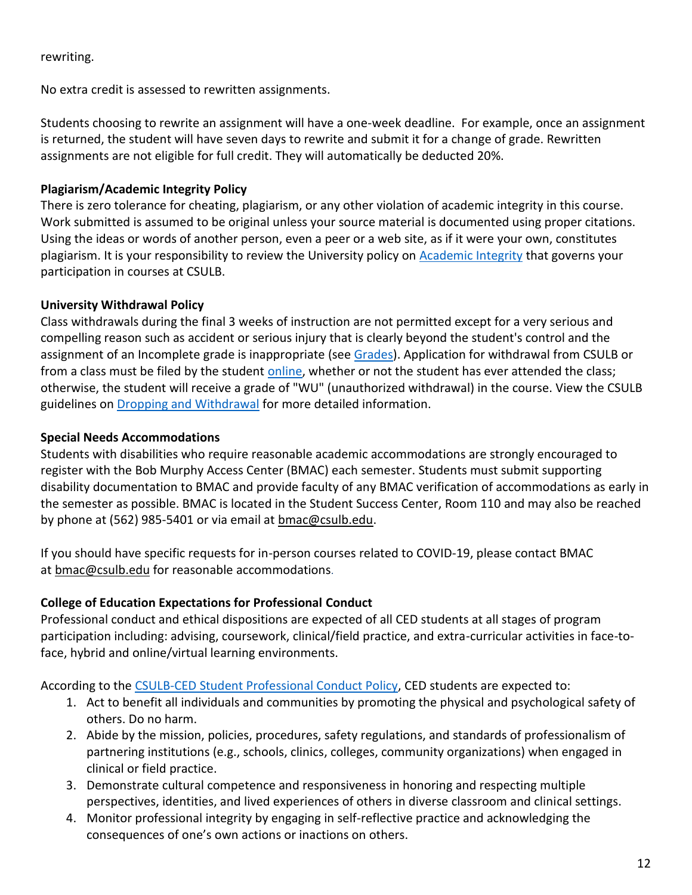#### rewriting.

No extra credit is assessed to rewritten assignments.

Students choosing to rewrite an assignment will have a one-week deadline. For example, once an assignment is returned, the student will have seven days to rewrite and submit it for a change of grade. Rewritten assignments are not eligible for full credit. They will automatically be deducted 20%.

### **Plagiarism/Academic Integrity Policy**

There is zero tolerance for cheating, plagiarism, or any other violation of academic integrity in this course. Work submitted is assumed to be original unless your source material is documented using proper citations. Using the ideas or words of another person, even a peer or a web site, as if it were your own, constitutes plagiarism. It is your responsibility to review the University policy on [Academic Integrity](https://www.csulb.edu/academic-senate/policy-academic-integrity-regarding-cheating-and-plagiarism) that governs your participation in courses at CSULB.

## **University Withdrawal Policy**

Class withdrawals during the final 3 weeks of instruction are not permitted except for a very serious and compelling reason such as accident or serious injury that is clearly beyond the student's control and the assignment of an Incomplete grade is inappropriate (see [Grades\)](http://www.csulb.edu/depts/enrollment/student_academic_records/grading.html). Application for withdrawal from CSULB or from a class must be filed by the student [online,](https://www.csulb.edu/student-records/dropping-and-withdrawing) whether or not the student has ever attended the class; otherwise, the student will receive a grade of "WU" (unauthorized withdrawal) in the course. View the CSULB guidelines on [Dropping and Withdrawal](https://www.csulb.edu/student-records/dropping-and-withdrawing#:~:text=Policy,after%20separation%20from%20the%20university.) for more detailed information.

#### **Special Needs Accommodations**

Students with disabilities who require reasonable academic accommodations are strongly encouraged to register with the Bob Murphy Access Center (BMAC) each semester. Students must submit supporting disability documentation to BMAC and provide faculty of any BMAC verification of accommodations as early in the semester as possible. BMAC is located in the Student Success Center, Room 110 and may also be reached by phone at (562) 985-5401 or via email at **bmac@csulb.edu**.

If you should have specific requests for in-person courses related to COVID-19, please contact BMAC at [bmac@csulb.edu](mailto:bmac@csulb.edu) for reasonable accommodations.

## **College of Education Expectations for Professional Conduct**

Professional conduct and ethical dispositions are expected of all CED students at all stages of program participation including: advising, coursework, clinical/field practice, and extra-curricular activities in face-toface, hybrid and online/virtual learning environments.

According to the [CSULB-CED Student Professional Conduct Policy,](https://www.csulb.edu/sites/default/files/u48211/final-ced_student_professional_conduct_policy-1-2021.pdf) CED students are expected to:

- 1. Act to benefit all individuals and communities by promoting the physical and psychological safety of others. Do no harm.
- 2. Abide by the mission, policies, procedures, safety regulations, and standards of professionalism of partnering institutions (e.g., schools, clinics, colleges, community organizations) when engaged in clinical or field practice.
- 3. Demonstrate cultural competence and responsiveness in honoring and respecting multiple perspectives, identities, and lived experiences of others in diverse classroom and clinical settings.
- 4. Monitor professional integrity by engaging in self-reflective practice and acknowledging the consequences of one's own actions or inactions on others.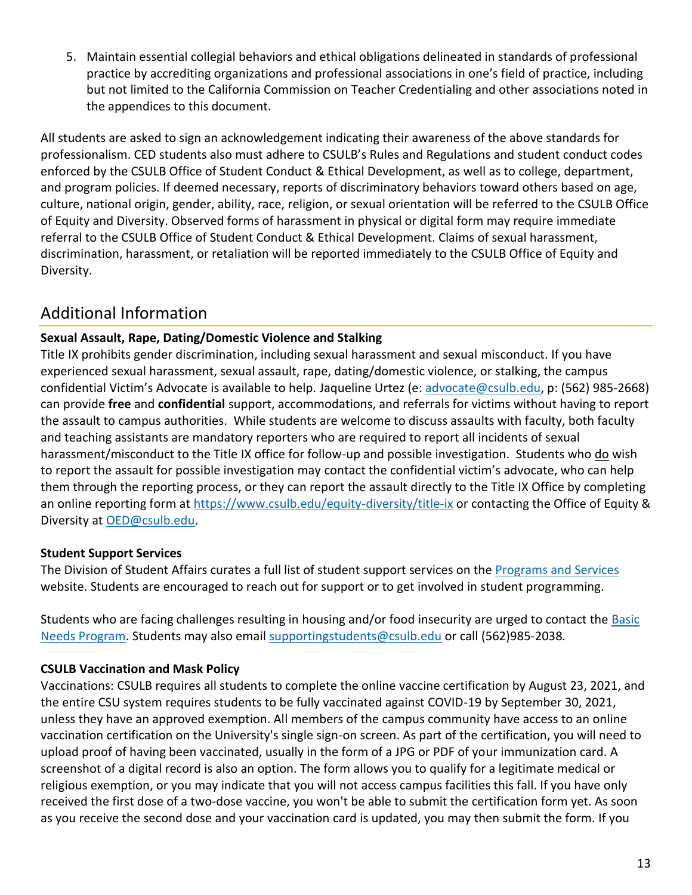5. Maintain essential collegial behaviors and ethical obligations delineated in standards of professional practice by accrediting organizations and professional associations in one's field of practice, including but not limited to the California Commission on Teacher Credentialing and other associations noted in the appendices to this document.

All students are asked to sign an acknowledgement indicating their awareness of the above standards for professionalism. CED students also must adhere to CSULB's Rules and Regulations and student conduct codes enforced by the CSULB Office of Student Conduct & Ethical Development, as well as to college, department, and program policies. If deemed necessary, reports of discriminatory behaviors toward others based on age, culture, national origin, gender, ability, race, religion, or sexual orientation will be referred to the CSULB Office of Equity and Diversity. Observed forms of harassment in physical or digital form may require immediate referral to the CSULB Office of Student Conduct & Ethical Development. Claims of sexual harassment, discrimination, harassment, or retaliation will be reported immediately to the CSULB Office of Equity and Diversity.

# Additional Information

## **Sexual Assault, Rape, Dating/Domestic Violence and Stalking**

Title IX prohibits gender discrimination, including sexual harassment and sexual misconduct. If you have experienced sexual harassment, sexual assault, rape, dating/domestic violence, or stalking, the campus confidential Victim's Advocate is available to help. Jaqueline Urtez (e: [advocate@csulb.edu,](mailto:advocate@csulb.edu) p: (562) 985-2668) can provide **free** and **confidential** support, accommodations, and referrals for victims without having to report the assault to campus authorities. While students are welcome to discuss assaults with faculty, both faculty and teaching assistants are mandatory reporters who are required to report all incidents of sexual harassment/misconduct to the Title IX office for follow-up and possible investigation. Students who do wish to report the assault for possible investigation may contact the confidential victim's advocate, who can help them through the reporting process, or they can report the assault directly to the Title IX Office by completing an online reporting form at<https://www.csulb.edu/equity-diversity/title-ix> or contacting the Office of Equity & Diversity at [OED@csulb.edu.](mailto:OED@csulb.edu)

## **Student Support Services**

The Division of Student Affairs curates a full list of student support services on the [Programs and Services](http://web.csulb.edu/divisions/students/programs.html) website. Students are encouraged to reach out for support or to get involved in student programming.

Students who are facing challenges resulting in housing and/or food insecurity are urged to contact the Basic [Needs Program.](https://www.csulb.edu/student-affairs/basic-needs-0) Students may also email [supportingstudents@csulb.edu](mailto:supportingstudents@csulb.edu) or call (562)985-2038*.*

## **CSULB Vaccination and Mask Policy**

Vaccinations: CSULB requires all students to complete the online vaccine certification by August 23, 2021, and the entire CSU system requires students to be fully vaccinated against COVID-19 by September 30, 2021, unless they have an approved exemption. All members of the campus community have access to an online vaccination certification on the University's single sign-on screen. As part of the certification, you will need to upload proof of having been vaccinated, usually in the form of a JPG or PDF of your immunization card. A screenshot of a digital record is also an option. The form allows you to qualify for a legitimate medical or religious exemption, or you may indicate that you will not access campus facilities this fall. If you have only received the first dose of a two-dose vaccine, you won't be able to submit the certification form yet. As soon as you receive the second dose and your vaccination card is updated, you may then submit the form. If you